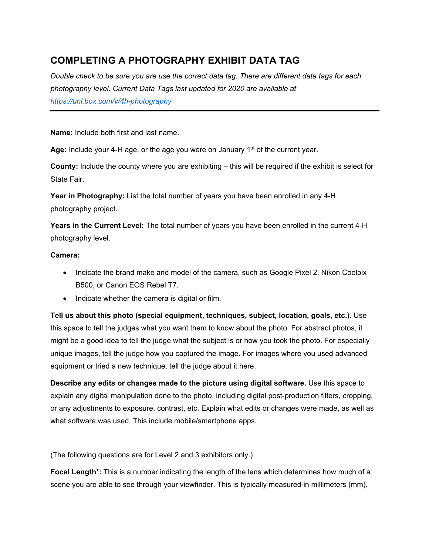# **COMPLETING A PHOTOGRAPHY EXHIBIT DATA TAG**

*Double check to be sure you are use the correct data tag. There are different data tags for each photography level. Current Data Tags last updated for 2020 are available at https://unl.box.com/v/4h-photography*

**Name:** Include both first and last name.

Age: Include your 4-H age, or the age you were on January 1<sup>st</sup> of the current year.

**County:** Include the county where you are exhibiting – this will be required if the exhibit is select for State Fair.

**Year in Photography:** List the total number of years you have been enrolled in any 4-H photography project.

**Years in the Current Level:** The total number of years you have been enrolled in the current 4-H photography level.

### **Camera:**

- Indicate the brand make and model of the camera, such as Google Pixel 2, Nikon Coolpix B500, or Canon EOS Rebel T7.
- Indicate whether the camera is digital or film.

**Tell us about this photo (special equipment, techniques, subject, location, goals, etc.).** Use this space to tell the judges what you want them to know about the photo. For abstract photos, it might be a good idea to tell the judge what the subject is or how you took the photo. For especially unique images, tell the judge how you captured the image. For images where you used advanced equipment or tried a new technique, tell the judge about it here.

**Describe any edits or changes made to the picture using digital software.** Use this space to explain any digital manipulation done to the photo, including digital post-production filters, cropping, or any adjustments to exposure, contrast, etc. Explain what edits or changes were made, as well as what software was used. This include mobile/smartphone apps.

(The following questions are for Level 2 and 3 exhibitors only.)

**Focal Length\*:** This is a number indicating the length of the lens which determines how much of a scene you are able to see through your viewfinder. This is typically measured in millimeters (mm).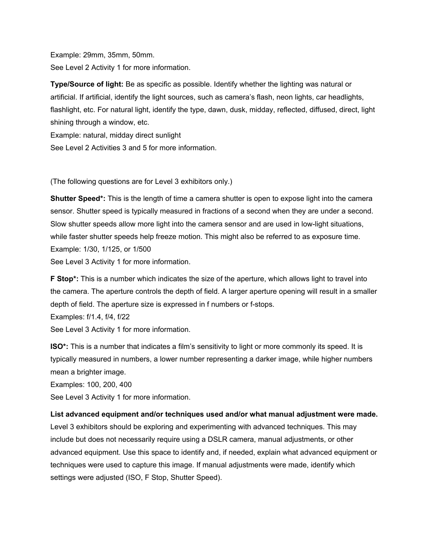Example: 29mm, 35mm, 50mm. See Level 2 Activity 1 for more information.

**Type/Source of light:** Be as specific as possible. Identify whether the lighting was natural or artificial. If artificial, identify the light sources, such as camera's flash, neon lights, car headlights, flashlight, etc. For natural light, identify the type, dawn, dusk, midday, reflected, diffused, direct, light shining through a window, etc.

Example: natural, midday direct sunlight

See Level 2 Activities 3 and 5 for more information.

(The following questions are for Level 3 exhibitors only.)

**Shutter Speed\*:** This is the length of time a camera shutter is open to expose light into the camera sensor. Shutter speed is typically measured in fractions of a second when they are under a second. Slow shutter speeds allow more light into the camera sensor and are used in low-light situations, while faster shutter speeds help freeze motion. This might also be referred to as exposure time. Example: 1/30, 1/125, or 1/500

See Level 3 Activity 1 for more information.

**F Stop\*:** This is a number which indicates the size of the aperture, which allows light to travel into the camera. The aperture controls the depth of field. A larger aperture opening will result in a smaller depth of field. The aperture size is expressed in f numbers or f-stops.

Examples: f/1.4, f/4, f/22

See Level 3 Activity 1 for more information.

**ISO\*:** This is a number that indicates a film's sensitivity to light or more commonly its speed. It is typically measured in numbers, a lower number representing a darker image, while higher numbers mean a brighter image.

Examples: 100, 200, 400

See Level 3 Activity 1 for more information.

### **List advanced equipment and/or techniques used and/or what manual adjustment were made.**

Level 3 exhibitors should be exploring and experimenting with advanced techniques. This may include but does not necessarily require using a DSLR camera, manual adjustments, or other advanced equipment. Use this space to identify and, if needed, explain what advanced equipment or techniques were used to capture this image. If manual adjustments were made, identify which settings were adjusted (ISO, F Stop, Shutter Speed).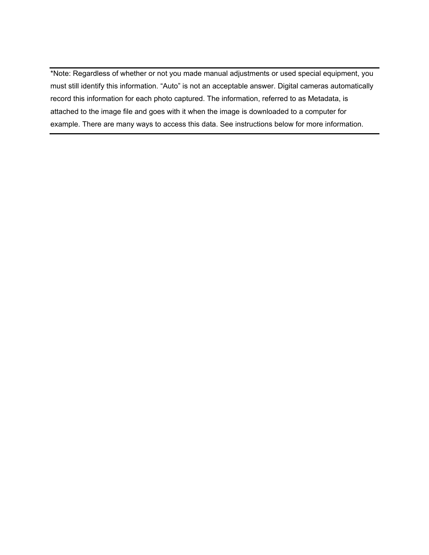\*Note: Regardless of whether or not you made manual adjustments or used special equipment, you must still identify this information. "Auto" is not an acceptable answer. Digital cameras automatically record this information for each photo captured. The information, referred to as Metadata, is attached to the image file and goes with it when the image is downloaded to a computer for example. There are many ways to access this data. See instructions below for more information.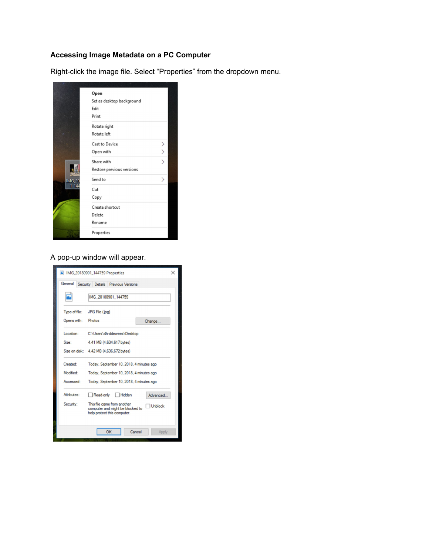# **Accessing Image Metadata on a PC Computer**

Right-click the image file. Select "Properties" from the dropdown menu.



### A pop-up window will appear.

|               | IMG 20180901 144759 Properties                                                                                   | × |  |  |
|---------------|------------------------------------------------------------------------------------------------------------------|---|--|--|
| General       | Security Details Previous Versions                                                                               |   |  |  |
|               | IMG 20180901 144759                                                                                              |   |  |  |
| Type of file: | JPG File (.jpg)                                                                                                  |   |  |  |
| Opens with:   | Photos<br>Change                                                                                                 |   |  |  |
| Location:     | C:\Users\4h-ddewees\Desktop                                                                                      |   |  |  |
| Size:         | 4.41 MB (4.634.617 bytes)                                                                                        |   |  |  |
|               | Size on disk: 4.42 MB (4,636,672 bytes)                                                                          |   |  |  |
| Created:      | Today, September 10, 2018, 4 minutes ago                                                                         |   |  |  |
| Modified:     | Today, September 10, 2018, 4 minutes ago                                                                         |   |  |  |
| Accessed:     | Today, September 10, 2018, 4 minutes ago                                                                         |   |  |  |
| Attributes:   | $\Box$ Hidden<br>Read-only<br>Advanced                                                                           |   |  |  |
| Security:     | This file came from another<br><b>Unblock</b><br>computer and might be blocked to<br>help protect this computer. |   |  |  |
|               | OK<br>Cancel<br>Apply                                                                                            |   |  |  |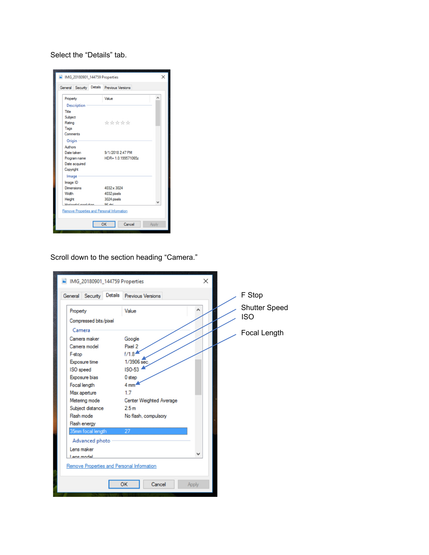Select the "Details" tab.

|                                            | General Security Details Previous Versions |  |
|--------------------------------------------|--------------------------------------------|--|
| Property                                   | Value                                      |  |
| <b>Description</b>                         |                                            |  |
| Title                                      |                                            |  |
| Subject                                    |                                            |  |
| Rating                                     | *****                                      |  |
| Tags                                       |                                            |  |
| Comments                                   |                                            |  |
| Origin                                     |                                            |  |
| Authors                                    |                                            |  |
| Date taken                                 | 9/1/2018 2:47 PM                           |  |
| Program name                               | HDR+ 1.0.199571065z                        |  |
| Date acquired                              |                                            |  |
| Copyright                                  |                                            |  |
| Image                                      |                                            |  |
| Image ID                                   |                                            |  |
| Dimensions                                 | 4032 x 3024                                |  |
| Width                                      | 4032 pixels                                |  |
| Height                                     | 3024 pixels                                |  |
| Undergraded monal diary                    | OC del                                     |  |
| Remove Properties and Personal Information |                                            |  |

Scroll down to the section heading "Camera."

| IMG_20180901_144759 Properties             | $\times$                       |                                    |
|--------------------------------------------|--------------------------------|------------------------------------|
| General Security                           | Details Previous Versions      | F Stop                             |
| Property<br>Compressed bits/pixel          | ^<br>Value                     | <b>Shutter Speed</b><br><b>ISO</b> |
| Camera                                     |                                | Focal Length                       |
| Camera maker<br>Camera model               | Google<br>Pixel 2              |                                    |
| F-stop                                     | f/1.8                          |                                    |
| Exposure time<br>ISO speed                 | 1/3906 sec<br><b>ISO-53</b>    |                                    |
| Exposure bias                              | 0 step                         |                                    |
| Focal length                               | 4 mm <sup>-</sup>              |                                    |
| Max aperture                               | 1.7                            |                                    |
| Metering mode                              | <b>Center Weighted Average</b> |                                    |
| Subject distance                           | 2.5 <sub>m</sub>               |                                    |
| Flash mode                                 | No flash, compulsory           |                                    |
| Flash energy                               |                                |                                    |
| 35mm focal length                          | 27                             |                                    |
| Advanced photo                             |                                |                                    |
| Lens maker                                 |                                |                                    |
| Lane modal                                 |                                |                                    |
| Remove Properties and Personal Information |                                |                                    |
|                                            |                                |                                    |
|                                            | OK<br>Cancel<br>Apply          |                                    |
|                                            |                                |                                    |